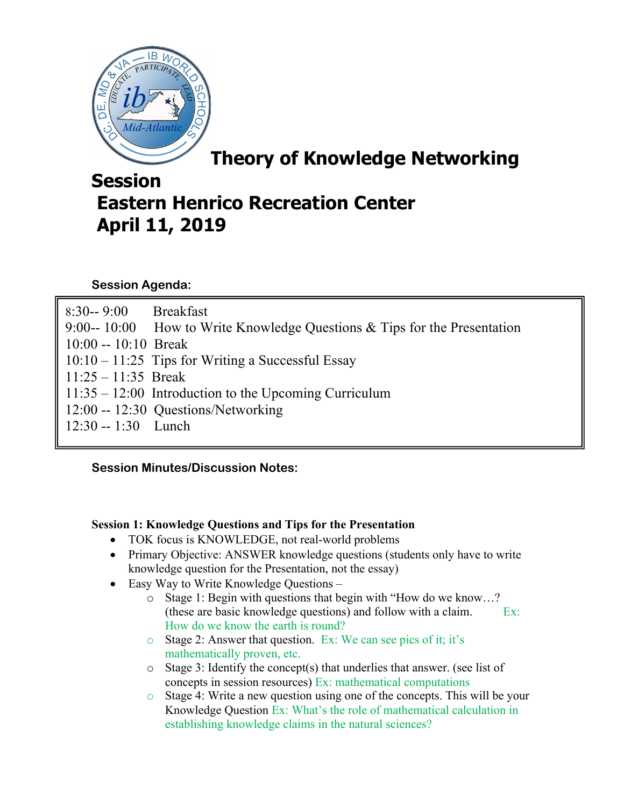

**Theory of Knowledge Networking** 

# **Session Eastern Henrico Recreation Center April 11, 2019**

## **Session Agenda:**

| 8:30--9:00 Breakfast  |                                                                           |
|-----------------------|---------------------------------------------------------------------------|
|                       | 9:00-- 10:00 How to Write Knowledge Questions & Tips for the Presentation |
| $10:00 - 10:10$ Break |                                                                           |
|                       | $10:10 - 11:25$ Tips for Writing a Successful Essay                       |
| $11:25 - 11:35$ Break |                                                                           |
|                       | $11:35 - 12:00$ Introduction to the Upcoming Curriculum                   |
|                       | 12:00 -- 12:30 Questions/Networking                                       |
| $12:30 - 1:30$ Lunch  |                                                                           |
|                       |                                                                           |

## **Session Minutes/Discussion Notes:**

#### **Session 1: Knowledge Questions and Tips for the Presentation**

- TOK focus is KNOWLEDGE, not real-world problems
- Primary Objective: ANSWER knowledge questions (students only have to write knowledge question for the Presentation, not the essay)
- Easy Way to Write Knowledge Questions
	- o Stage 1: Begin with questions that begin with "How do we know…? (these are basic knowledge questions) and follow with a claim.  $Ex:$ How do we know the earth is round?
	- o Stage 2: Answer that question. Ex: We can see pics of it; it's mathematically proven, etc.
	- o Stage 3: Identify the concept(s) that underlies that answer. (see list of concepts in session resources) Ex: mathematical computations
	- $\circ$  Stage 4: Write a new question using one of the concepts. This will be your Knowledge Question Ex: What's the role of mathematical calculation in establishing knowledge claims in the natural sciences?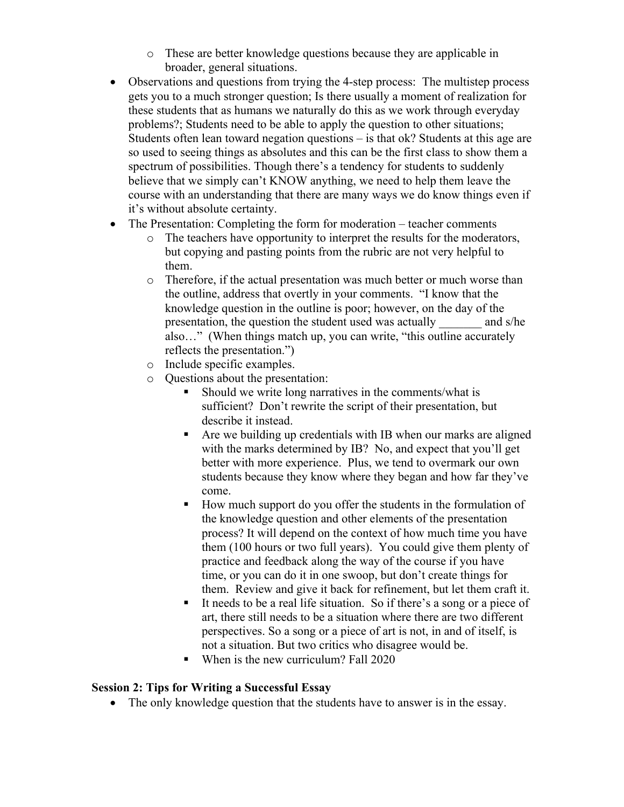- o These are better knowledge questions because they are applicable in broader, general situations.
- Observations and questions from trying the 4-step process: The multistep process gets you to a much stronger question; Is there usually a moment of realization for these students that as humans we naturally do this as we work through everyday problems?; Students need to be able to apply the question to other situations; Students often lean toward negation questions – is that ok? Students at this age are so used to seeing things as absolutes and this can be the first class to show them a spectrum of possibilities. Though there's a tendency for students to suddenly believe that we simply can't KNOW anything, we need to help them leave the course with an understanding that there are many ways we do know things even if it's without absolute certainty.
- The Presentation: Completing the form for moderation teacher comments
	- o The teachers have opportunity to interpret the results for the moderators, but copying and pasting points from the rubric are not very helpful to them.
	- o Therefore, if the actual presentation was much better or much worse than the outline, address that overtly in your comments. "I know that the knowledge question in the outline is poor; however, on the day of the presentation, the question the student used was actually and s/he also…" (When things match up, you can write, "this outline accurately reflects the presentation.")
	- o Include specific examples.
	- o Questions about the presentation:
		- § Should we write long narratives in the comments/what is sufficient? Don't rewrite the script of their presentation, but describe it instead.
		- Are we building up credentials with IB when our marks are aligned with the marks determined by IB? No, and expect that you'll get better with more experience. Plus, we tend to overmark our own students because they know where they began and how far they've come.
		- How much support do you offer the students in the formulation of the knowledge question and other elements of the presentation process? It will depend on the context of how much time you have them (100 hours or two full years). You could give them plenty of practice and feedback along the way of the course if you have time, or you can do it in one swoop, but don't create things for them. Review and give it back for refinement, but let them craft it.
		- It needs to be a real life situation. So if there's a song or a piece of art, there still needs to be a situation where there are two different perspectives. So a song or a piece of art is not, in and of itself, is not a situation. But two critics who disagree would be.
		- When is the new curriculum? Fall 2020

## **Session 2: Tips for Writing a Successful Essay**

• The only knowledge question that the students have to answer is in the essay.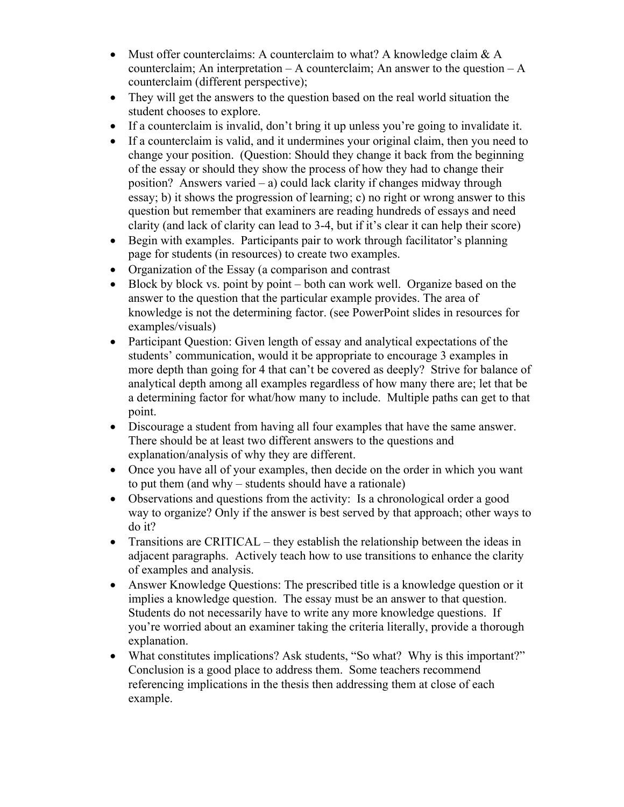- Must offer counterclaims: A counterclaim to what? A knowledge claim  $& A$ counterclaim; An interpretation – A counterclaim; An answer to the question – A counterclaim (different perspective);
- They will get the answers to the question based on the real world situation the student chooses to explore.
- If a counterclaim is invalid, don't bring it up unless you're going to invalidate it.
- If a counterclaim is valid, and it undermines your original claim, then you need to change your position. (Question: Should they change it back from the beginning of the essay or should they show the process of how they had to change their position? Answers varied – a) could lack clarity if changes midway through essay; b) it shows the progression of learning; c) no right or wrong answer to this question but remember that examiners are reading hundreds of essays and need clarity (and lack of clarity can lead to 3-4, but if it's clear it can help their score)
- Begin with examples. Participants pair to work through facilitator's planning page for students (in resources) to create two examples.
- Organization of the Essay (a comparison and contrast
- Block by block vs. point by point both can work well. Organize based on the answer to the question that the particular example provides. The area of knowledge is not the determining factor. (see PowerPoint slides in resources for examples/visuals)
- Participant Question: Given length of essay and analytical expectations of the students' communication, would it be appropriate to encourage 3 examples in more depth than going for 4 that can't be covered as deeply? Strive for balance of analytical depth among all examples regardless of how many there are; let that be a determining factor for what/how many to include. Multiple paths can get to that point.
- Discourage a student from having all four examples that have the same answer. There should be at least two different answers to the questions and explanation/analysis of why they are different.
- Once you have all of your examples, then decide on the order in which you want to put them (and why – students should have a rationale)
- Observations and questions from the activity: Is a chronological order a good way to organize? Only if the answer is best served by that approach; other ways to do it?
- Transitions are CRITICAL they establish the relationship between the ideas in adjacent paragraphs. Actively teach how to use transitions to enhance the clarity of examples and analysis.
- Answer Knowledge Questions: The prescribed title is a knowledge question or it implies a knowledge question. The essay must be an answer to that question. Students do not necessarily have to write any more knowledge questions. If you're worried about an examiner taking the criteria literally, provide a thorough explanation.
- What constitutes implications? Ask students, "So what? Why is this important?" Conclusion is a good place to address them. Some teachers recommend referencing implications in the thesis then addressing them at close of each example.